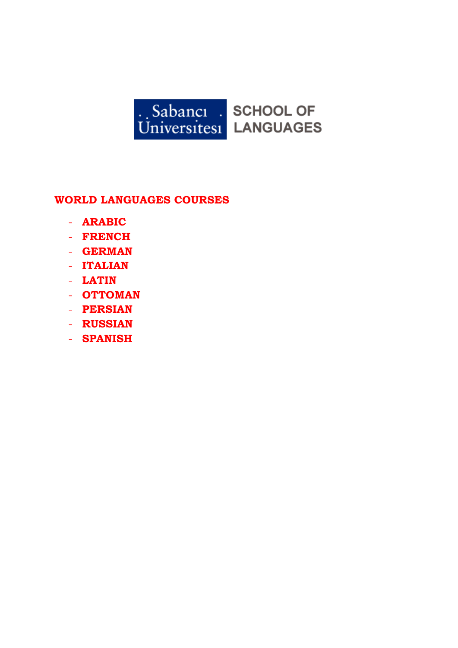

# **WORLD LANGUAGES COURSES**

- **ARABIC**
- **FRENCH**
- **GERMAN**
- **ITALIAN**
- **LATIN**
- **OTTOMAN**
- **PERSIAN**
- **RUSSIAN**
- **SPANISH**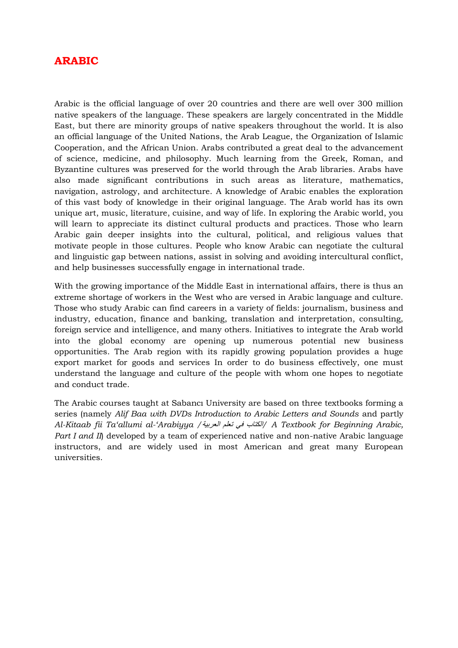## **ARABIC**

Arabic is the official language of over 20 countries and there are well over 300 million native speakers of the language. These speakers are largely concentrated in the Middle East, but there are minority groups of native speakers throughout the world. It is also an official language of the United Nations, the Arab League, the Organization of Islamic Cooperation, and the African Union. Arabs contributed a great deal to the advancement of science, medicine, and philosophy. Much learning from the Greek, Roman, and Byzantine cultures was preserved for the world through the Arab libraries. Arabs have also made significant contributions in such areas as literature, mathematics, navigation, astrology, and architecture. A knowledge of Arabic enables the exploration of this vast body of knowledge in their original language. The Arab world has its own unique art, music, literature, cuisine, and way of life. In exploring the Arabic world, you will learn to appreciate its distinct cultural products and practices. Those who learn Arabic gain deeper insights into the cultural, political, and religious values that motivate people in those cultures. People who know Arabic can negotiate the cultural and linguistic gap between nations, assist in solving and avoiding intercultural conflict, and help businesses successfully engage in international trade.

With the growing importance of the Middle East in international affairs, there is thus an extreme shortage of workers in the West who are versed in Arabic language and culture. Those who study Arabic can find careers in a variety of fields: journalism, business and industry, education, finance and banking, translation and interpretation, consulting, foreign service and intelligence, and many others. Initiatives to integrate the Arab world into the global economy are opening up numerous potential new business opportunities. The Arab region with its rapidly growing population provides a huge export market for goods and services In order to do business effectively, one must understand the language and culture of the people with whom one hopes to negotiate and conduct trade.

The Arabic courses taught at Sabancı University are based on three textbooks forming a series (namely *Alif Baa with DVDs Introduction to Arabic Letters and Sounds* and partly *Al-Kitaab fii Ta'allumi al-'Arabiyya /*العربية تعلم في الكتاب*/ A Textbook for Beginning Arabic, Part I and II*) developed by a team of experienced native and non-native Arabic language instructors, and are widely used in most American and great many European universities.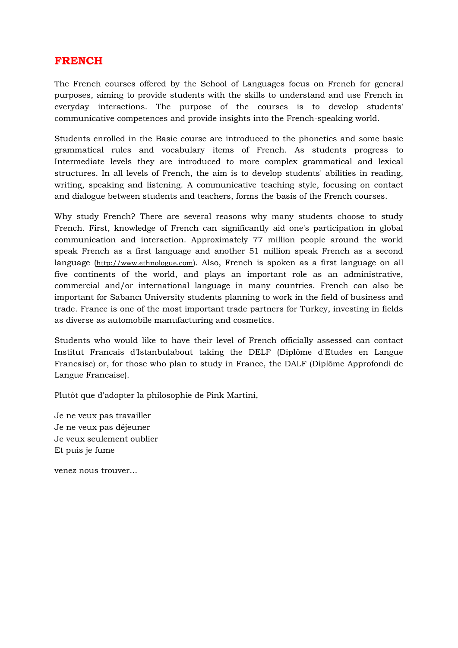### **FRENCH**

The French courses offered by the School of Languages focus on French for general purposes, aiming to provide students with the skills to understand and use French in everyday interactions. The purpose of the courses is to develop students' communicative competences and provide insights into the French-speaking world.

Students enrolled in the Basic course are introduced to the phonetics and some basic grammatical rules and vocabulary items of French. As students progress to Intermediate levels they are introduced to more complex grammatical and lexical structures. In all levels of French, the aim is to develop students' abilities in reading, writing, speaking and listening. A communicative teaching style, focusing on contact and dialogue between students and teachers, forms the basis of the French courses.

Why study French? There are several reasons why many students choose to study French. First, knowledge of French can significantly aid one's participation in global communication and interaction. Approximately 77 million people around the world speak French as a first language and another 51 million speak French as a second language [\(http://www.ethnologue.com\)](http://www.ethnologue.com/). Also, French is spoken as a first language on all five continents of the world, and plays an important role as an administrative, commercial and/or international language in many countries. French can also be important for Sabancı University students planning to work in the field of business and trade. France is one of the most important trade partners for Turkey, investing in fields as diverse as automobile manufacturing and cosmetics.

Students who would like to have their level of French officially assessed can contact Institut Francais d'Istanbulabout taking the DELF (Diplôme d'Etudes en Langue Francaise) or, for those who plan to study in France, the DALF (Diplôme Approfondi de Langue Francaise).

Plutôt que d'adopter la philosophie de Pink Martini,

Je ne veux pas travailler Je ne veux pas déjeuner Je veux seulement oublier Et puis je fume

venez nous trouver...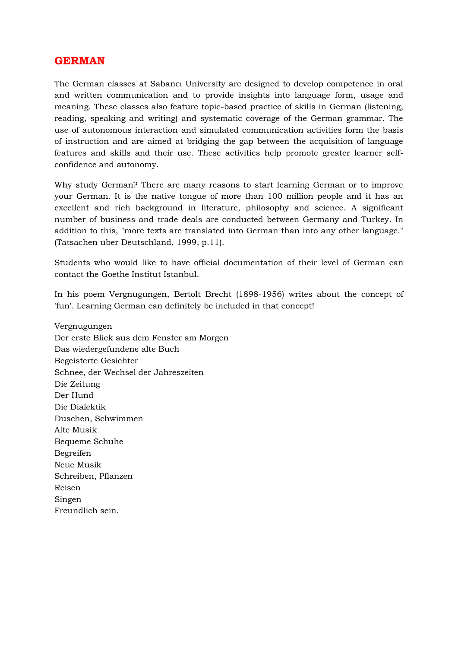#### **GERMAN**

The German classes at Sabancı University are designed to develop competence in oral and written communication and to provide insights into language form, usage and meaning. These classes also feature topic-based practice of skills in German (listening, reading, speaking and writing) and systematic coverage of the German grammar. The use of autonomous interaction and simulated communication activities form the basis of instruction and are aimed at bridging the gap between the acquisition of language features and skills and their use. These activities help promote greater learner selfconfidence and autonomy.

Why study German? There are many reasons to start learning German or to improve your German. It is the native tongue of more than 100 million people and it has an excellent and rich background in literature, philosophy and science. A significant number of business and trade deals are conducted between Germany and Turkey. In addition to this, "more texts are translated into German than into any other language." (Tatsachen uber Deutschland, 1999, p.11).

Students who would like to have official documentation of their level of German can contact the Goethe Institut Istanbul.

In his poem Vergnugungen, Bertolt Brecht (1898-1956) writes about the concept of 'fun'. Learning German can definitely be included in that concept!

Vergnugungen Der erste Blick aus dem Fenster am Morgen Das wiedergefundene alte Buch Begeisterte Gesichter Schnee, der Wechsel der Jahreszeiten Die Zeitung Der Hund Die Dialektik Duschen, Schwimmen Alte Musik Bequeme Schuhe Begreifen Neue Musik Schreiben, Pflanzen Reisen Singen Freundlich sein.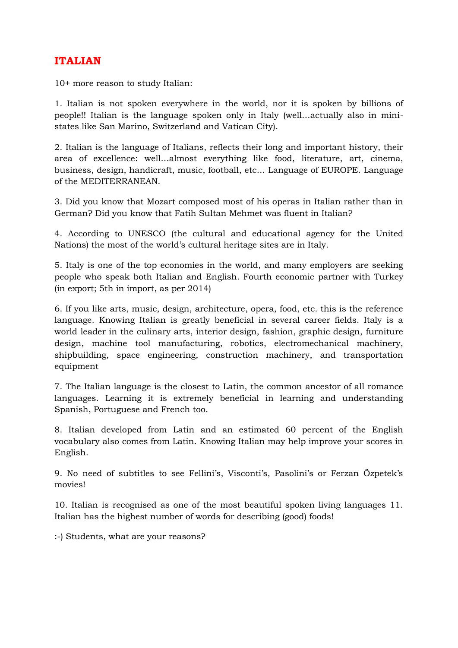## **ITALIAN**

10+ more reason to study Italian:

1. Italian is not spoken everywhere in the world, nor it is spoken by billions of people!! Italian is the language spoken only in Italy (well…actually also in ministates like San Marino, Switzerland and Vatican City).

2. Italian is the language of Italians, reflects their long and important history, their area of excellence: well…almost everything like food, literature, art, cinema, business, design, handicraft, music, football, etc… Language of EUROPE. Language of the MEDITERRANEAN.

3. Did you know that Mozart composed most of his operas in Italian rather than in German? Did you know that Fatih Sultan Mehmet was fluent in Italian?

4. According to UNESCO (the cultural and educational agency for the United Nations) the most of the world's cultural heritage sites are in Italy.

5. Italy is one of the top economies in the world, and many employers are seeking people who speak both Italian and English. Fourth economic partner with Turkey (in export; 5th in import, as per 2014)

6. If you like arts, music, design, architecture, opera, food, etc. this is the reference language. Knowing Italian is greatly beneficial in several career fields. Italy is a world leader in the culinary arts, interior design, fashion, graphic design, furniture design, machine tool manufacturing, robotics, electromechanical machinery, shipbuilding, space engineering, construction machinery, and transportation equipment

7. The Italian language is the closest to Latin, the common ancestor of all romance languages. Learning it is extremely beneficial in learning and understanding Spanish, Portuguese and French too.

8. Italian developed from Latin and an estimated 60 percent of the English vocabulary also comes from Latin. Knowing Italian may help improve your scores in English.

9. No need of subtitles to see Fellini's, Visconti's, Pasolini's or Ferzan Özpetek's movies!

10. Italian is recognised as one of the most beautiful spoken living languages 11. Italian has the highest number of words for describing (good) foods!

:-) Students, what are your reasons?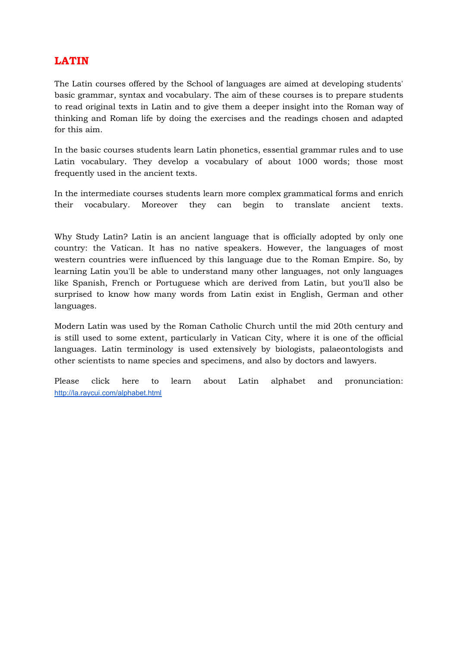## **LATIN**

The Latin courses offered by the School of languages are aimed at developing students' basic grammar, syntax and vocabulary. The aim of these courses is to prepare students to read original texts in Latin and to give them a deeper insight into the Roman way of thinking and Roman life by doing the exercises and the readings chosen and adapted for this aim.

In the basic courses students learn Latin phonetics, essential grammar rules and to use Latin vocabulary. They develop a vocabulary of about 1000 words; those most frequently used in the ancient texts.

In the intermediate courses students learn more complex grammatical forms and enrich their vocabulary. Moreover they can begin to translate ancient texts.

Why Study Latin? Latin is an ancient language that is officially adopted by only one country: the Vatican. It has no native speakers. However, the languages of most western countries were influenced by this language due to the Roman Empire. So, by learning Latin you'll be able to understand many other languages, not only languages like Spanish, French or Portuguese which are derived from Latin, but you'll also be surprised to know how many words from Latin exist in English, German and other languages.

Modern Latin was used by the Roman Catholic Church until the mid 20th century and is still used to some extent, particularly in Vatican City, where it is one of the official languages. Latin terminology is used extensively by biologists, palaeontologists and other scientists to name species and specimens, and also by doctors and lawyers.

Please click here to learn about Latin alphabet and pronunciation: <http://la.raycui.com/alphabet.html>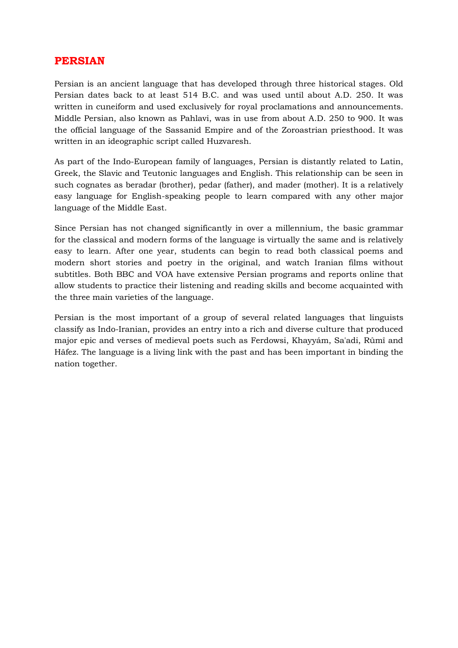#### **PERSIAN**

Persian is an ancient language that has developed through three historical stages. Old Persian dates back to at least 514 B.C. and was used until about A.D. 250. It was written in cuneiform and used exclusively for royal proclamations and announcements. Middle Persian, also known as Pahlavi, was in use from about A.D. 250 to 900. It was the official language of the Sassanid Empire and of the Zoroastrian priesthood. It was written in an ideographic script called Huzvaresh.

As part of the Indo-European family of languages, Persian is distantly related to Latin, Greek, the Slavic and Teutonic languages and English. This relationship can be seen in such cognates as beradar (brother), pedar (father), and mader (mother). It is a relatively easy language for English-speaking people to learn compared with any other major language of the Middle East.

Since Persian has not changed significantly in over a millennium, the basic grammar for the classical and modern forms of the language is virtually the same and is relatively easy to learn. After one year, students can begin to read both classical poems and modern short stories and poetry in the original, and watch Iranian films without subtitles. Both BBC and VOA have extensive Persian programs and reports online that allow students to practice their listening and reading skills and become acquainted with the three main varieties of the language.

Persian is the most important of a group of several related languages that linguists classify as Indo-Iranian, provides an entry into a rich and diverse culture that produced major epic and verses of medieval poets such as Ferdowsi, Khayyám, Sa'adi, Rûmî and Hâfez. The language is a living link with the past and has been important in binding the nation together.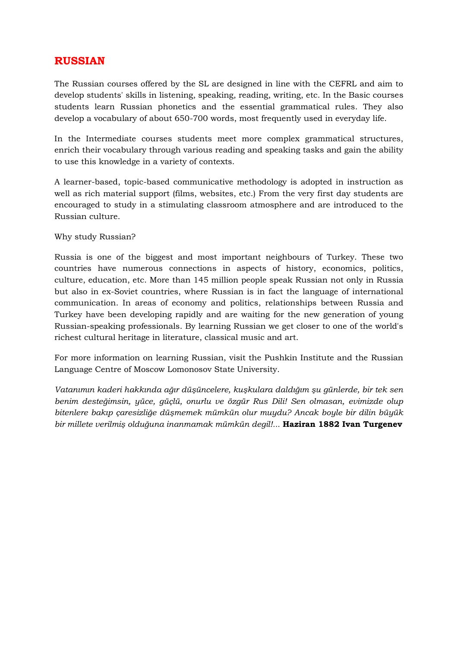## **RUSSIAN**

The Russian courses offered by the SL are designed in line with the CEFRL and aim to develop students' skills in listening, speaking, reading, writing, etc. In the Basic courses students learn Russian phonetics and the essential grammatical rules. They also develop a vocabulary of about 650-700 words, most frequently used in everyday life.

In the Intermediate courses students meet more complex grammatical structures, enrich their vocabulary through various reading and speaking tasks and gain the ability to use this knowledge in a variety of contexts.

A learner-based, topic-based communicative methodology is adopted in instruction as well as rich material support (films, websites, etc.) From the very first day students are encouraged to study in a stimulating classroom atmosphere and are introduced to the Russian culture.

#### Why study Russian?

Russia is one of the biggest and most important neighbours of Turkey. These two countries have numerous connections in aspects of history, economics, politics, culture, education, etc. More than 145 million people speak Russian not only in Russia but also in ex-Soviet countries, where Russian is in fact the language of international communication. In areas of economy and politics, relationships between Russia and Turkey have been developing rapidly and are waiting for the new generation of young Russian-speaking professionals. By learning Russian we get closer to one of the world's richest cultural heritage in literature, classical music and art.

For more information on learning Russian, visit the Pushkin Institute and the Russian Language Centre of Moscow Lomonosov State University.

*Vatanımın kaderi hakkında ağır düşüncelere, kuşkulara daldığım şu günlerde, bir tek sen benim desteğimsin, yüce, güçlü, onurlu ve özgür Rus Dili! Sen olmasan, evimizde olup bitenlere bakıp çaresizliğe düşmemek mümkün olur muydu? Ancak boyle bir dilin büyük bir millete verilmiş olduğuna inanmamak mümkün degil!...* **Haziran 1882 Ivan Turgenev**